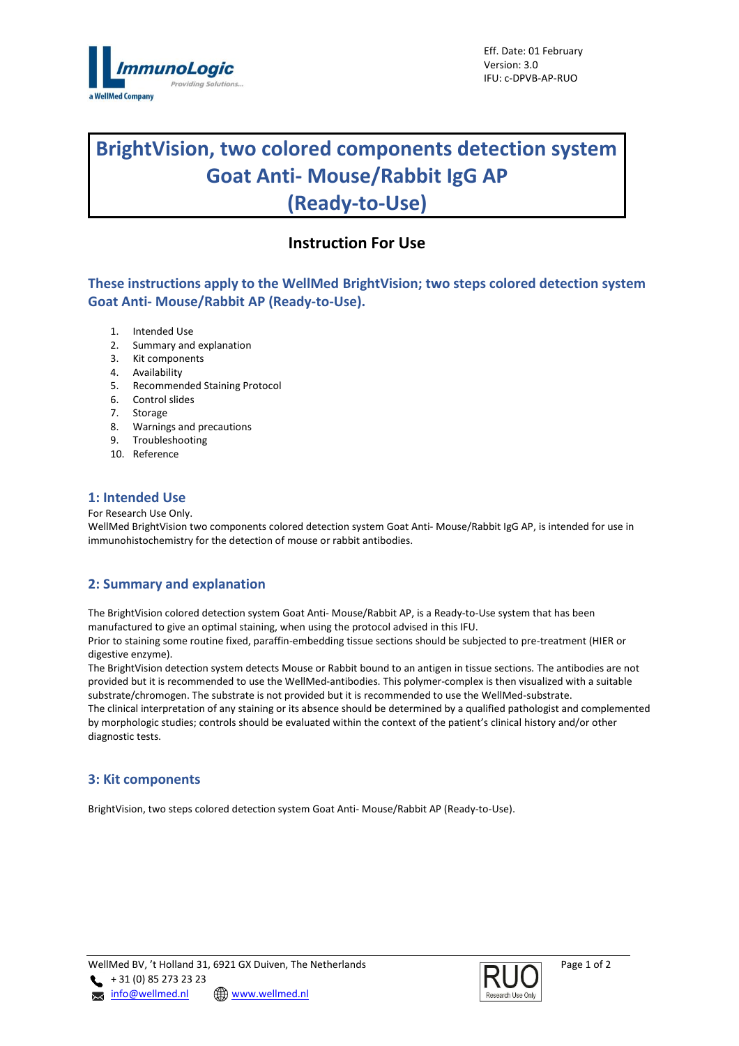

# **BrightVision, two colored components detection system Goat Anti- Mouse/Rabbit IgG AP (Ready-to-Use)**

## **Instruction For Use**

**These instructions apply to the WellMed BrightVision; two steps colored detection system Goat Anti- Mouse/Rabbit AP (Ready-to-Use).**

- 1. Intended Use
- 2. Summary and explanation
- 3. Kit components
- 4. Availability
- 5. Recommended Staining Protocol
- 6. Control slides
- 7. Storage
- 8. Warnings and precautions
- 9. Troubleshooting
- 10. Reference

### **1: Intended Use**

For Research Use Only.

WellMed BrightVision two components colored detection system Goat Anti- Mouse/Rabbit IgG AP, is intended for use in immunohistochemistry for the detection of mouse or rabbit antibodies.

## **2: Summary and explanation**

The BrightVision colored detection system Goat Anti- Mouse/Rabbit AP, is a Ready-to-Use system that has been manufactured to give an optimal staining, when using the protocol advised in this IFU.

Prior to staining some routine fixed, paraffin-embedding tissue sections should be subjected to pre-treatment (HIER or digestive enzyme).

The BrightVision detection system detects Mouse or Rabbit bound to an antigen in tissue sections. The antibodies are not provided but it is recommended to use the WellMed-antibodies. This polymer-complex is then visualized with a suitable substrate/chromogen. The substrate is not provided but it is recommended to use the WellMed-substrate. The clinical interpretation of any staining or its absence should be determined by a qualified pathologist and complemented by morphologic studies; controls should be evaluated within the context of the patient's clinical history and/or other diagnostic tests.

### **3: Kit components**

BrightVision, two steps colored detection system Goat Anti- Mouse/Rabbit AP (Ready-to-Use).